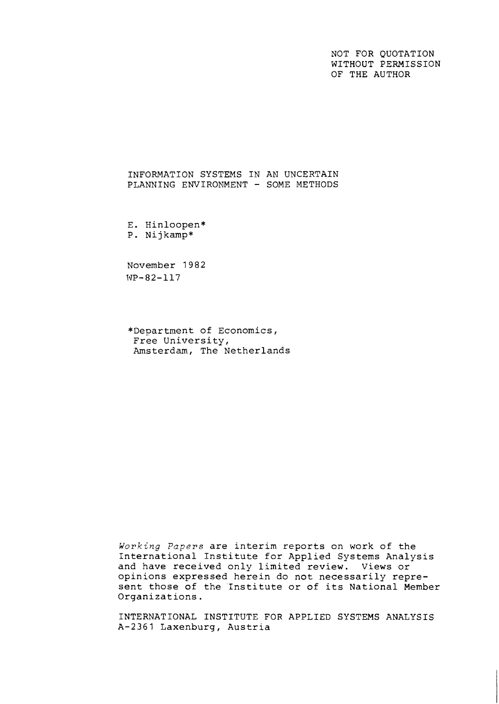NOT FOR QUOTATION WITHOUT PERMISSION OF THE AUTHOR

INFORMATION SYSTEMS IN AN UNCERTAIN PLANNING ENVIRONMENT - SOME METHODS

E. Hinloopen\* P. Nijkamp\*

November 1982 WP-82-117

\*Department of Economics, Free University, Amsterdam, The Netherlands

**Working** *Papers* are interim reports on work of the International Institute for Applied Systems Analysis and have received only limited review. Views or opinions expressed herein do not necessarily represent those of the 'Institute or of its National Member Organizations.

INTERNATIONAL INSTITUTE FOR APPLIED SYSTEMS ANALYSIS A-2361 Laxenburg, Austria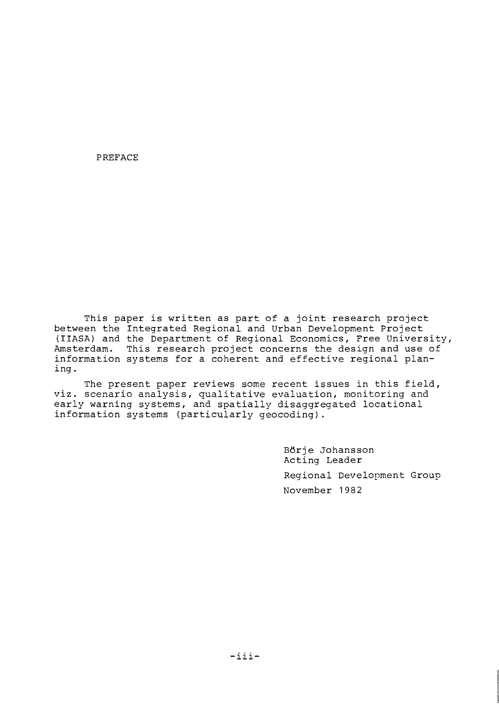PREFACE

This paper is written as part of a joint research project between the Integrated Regional and Urban Development Project (IIASA) and the Department of Regional Economics, Free University, Amsterdam. This research project concerns the design and use of information systems for a coherent and effective regional planing.

The present paper reviews some recent issues in this field, viz. scenario analysis, qualitative evaluation, monitoring and early warning systems, and spatially disaggregated locational information systems (particularly geocoding).

> Börje Johansson Acting Leader Regional Development Group November 1982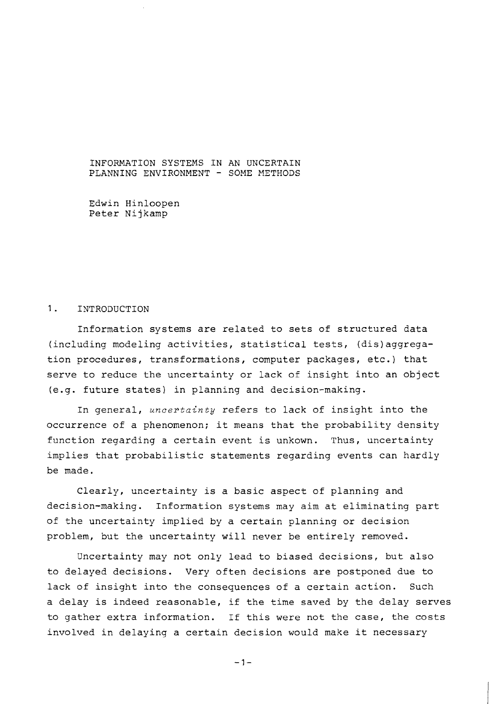INFORMATION SYSTEMS IN AN UNCERTAIN PLANNING ENVIRONMENT - SOME METHODS

Edwin Hinloopen Peter Nijkamp

# 1. INTRODUCTION

Information systems are related to sets of structured data (including modeling activities, statistical tests, (dis)aggregation procedures, transformations, computer packages, etc.) that serve to reduce the uncertainty or lack of insight into an object (e.g. future states) in planning and decision-making.

In general, uncertainty refers to lack of insight into the occurrence of a phenomenon; it means that the probability density function regarding a certain event is unkown. Thus, uncertainty implies that probabilistic statements regarding events can hardly be made.

Clearly, uncertainty is a basic aspect of planning and decision-making. Information systems may aim at eliminating part of the uncertainty implied by a certain planning or decision problem, but the uncertainty will never be entirely removed.

Uncertainty may not only lead to biased decisions, but also to delayed decisions. Very often decisions are postponed due to lack of insight into the consequences of a certain action. Such a delay is indeed reasonable, if the time saved by the delay serves to gather extra information. If this were not the case, the costs involved in delaying a certain decision would make it necessary

 $-1-$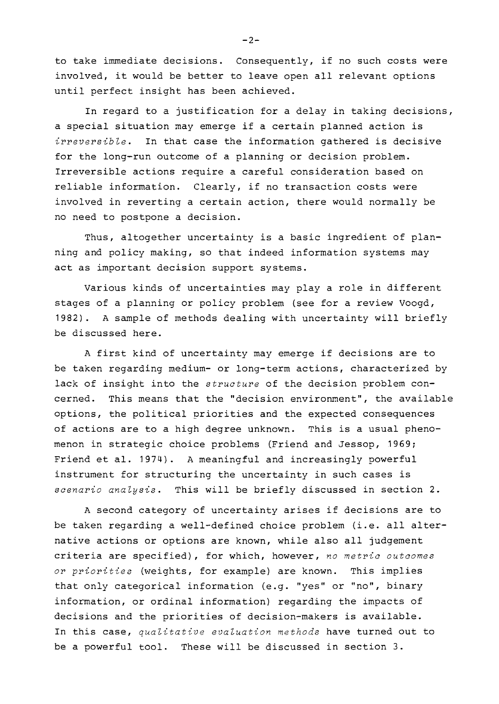to take immediate decisions. Consequently, if no such costs were involved, it would be better to leave open all relevant options until perfect insight has been achieved.

In regard to a justification for a delay in taking decisions, a special situation nay emerge if a certain planned action is irreversible. In that case the information gathered is decisive for the long-run outcome of a planning or decision problem. Irreversible actions require a careful consideration based on reliable information. Clearly, if no transaction costs were involved in reverting a certain action, there would normally be no need to postpone a decision.

Thus, altogether uncertainty is a basic ingredient of planning and policy making, so that indeed information systems may act as important decision support systems.

Various kinds of uncertainties may play a role in different stages of a planning or policy problem (see for a review Voogd, 1982). A sample of methods dealing with uncertainty will briefly be discussed here.

A first kind of uncertainty may emerge if decisions are to be taken regarding medium- or long-term actions, characterized by lack of insight into the structure of the decision problem concerned. This means that the "decision environment", the available options, the political priorities and the expected consequences of actions are to a high degree unknown. This is a usual phenomenon in strategic choice problems [Friend and Jessop, 1969; Friend et al. 3974). A meaningful and increasingly powerful instrument for structuring the uncertainty in such cases is scenario analysis. This will be briefly discussed in section 2.

A second category of uncertainty arises if decisions are to be taken regarding a well-defined choice problem (i.e. all alternative actions or options are known, while also all judgement criteria are specified), for which, however, no metric outcomes or priorities (weights, for example) are known. This implies that only categorical information (e.g. "yes" or "no", binary information, or ordinal information) regarding the impacts of decisions and the priorities of decision-makers is available. In this case, qualitative evaluation methods have turned out to be a powerful tool. These will be discussed in section **3.** 

 $-2-$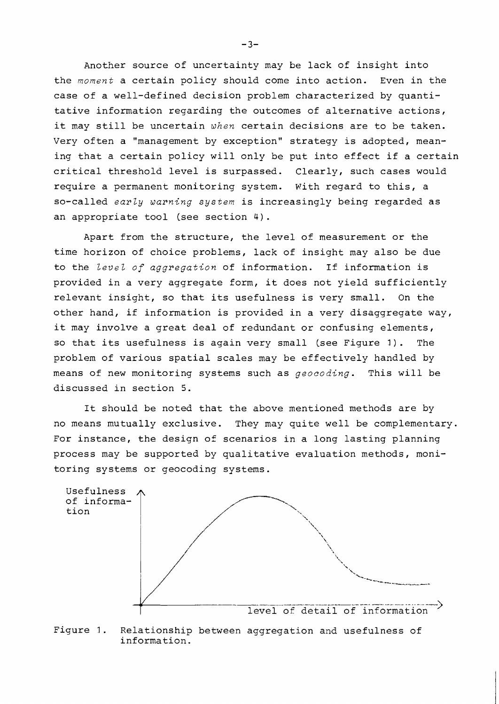Another source of uncertainty may be lack of insight into the *moment* a certain policy should come into action. Even in the case of a well-defined decision problem characterized by quantitative information regarding the outcomes of alternative actions, it may still be uncertain *when* certain decisions are to be taken. Very often a "management by exception" strategy is adopted, meaning that a certain policy will only be put into effect if a certain critical threshold level is surpassed. Clearly, such cases would require a permanent monitoring system. With regard to this, a so-called *early warning system* is increasingly being regarded as an appropriate tool (see section 4).

Apart from the structure, the level of measurement or the time horizon of choice problems, lack of insight may also be due to the *level of aggregation* of information. If information is provided in a very aggregate form, it does not yield sufficiently relevant insight, so that its usefulness is very small. On the other hand, if information is provided in a very disaggregate way, it may involve a great deal of redundant or confusing elements, so that its usefulness is again very small (see Figure 1). The problem of various spatial scales may be effectively handled by means of new monitoring systems such as *geocoding.* This will be discussed in section 5.

It should be noted that the above mentioned methods are by no means mutually exclusive. They may quite well be complementary. For instance, the design of scenarios in a long lasting planning process may be supported by qualitative evaluation methods, monitoring systems or geocoding systems.



Figure 1. Relationship between aggregation and usefulness of information.

 $-3-$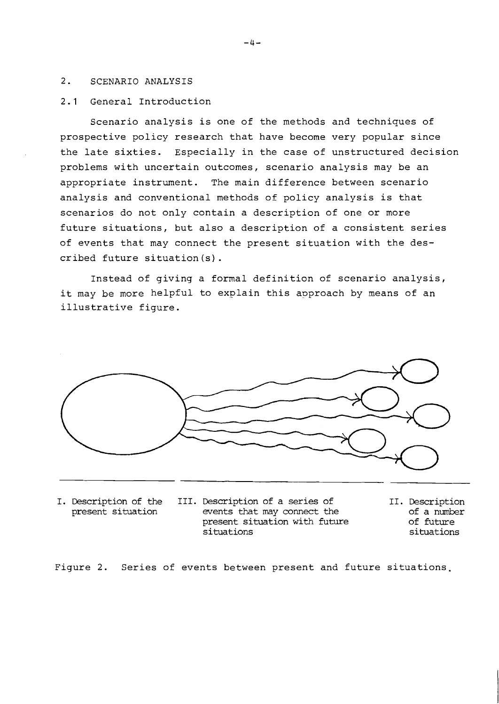## 2. SCENARIO ANALYSIS

## 2.1 General Introduction

Scenario analysis is one of the methods and techniques of prospective policy research that have become very popular since the late sixties. Especially in the case of unstructured decision problems with uncertain outcomes, scenario analysis may be an appropriate instrument. The main difference between scenario analysis and conventional methods of policy analysis is that scenarios do not only contain a description of one or more future situations, but also a description of a consistent series of events that may connect the present situation with the described future situation (s) .

Instead of giving a formal definition of scenario analysis, it may be more helpful to explain this approach by means of an illustrative figure.



- 
- I. Description of the III. Description of a series of 11. Description present situation events that may connect the of a number events that may connect the of a number<br>present situation with future of future present situation with future<br>situations
	- situations situations

Figure 2. Series of events between present and future situations,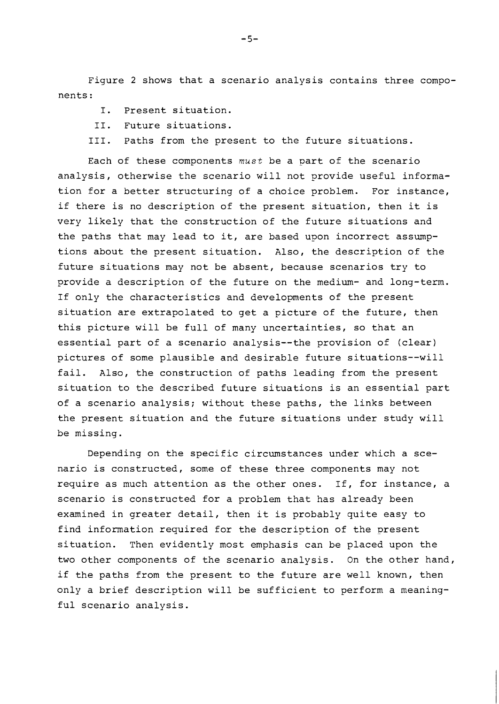Figure 2 shows that a scenario analysis contains three components :

- I. Present situation.
- 11. Future situations.
- 111. Paths from the present to the future situations.

Each of these components must be a part of the scenario analysis, otherwise the scenario will not provide useful information for a better structuring of a choice problem. For instance, if there is no description of the present situation, then it is very likely that the construction of the future situations and the paths that may lead to it, are based upon incorrect assumptions about the present situation. Also, the description of the future situations may not be absent, because scenarios try to provide a description of the future on the medium- and long-term. If only the characteristics and developments of the present situation are extrapolated to get a picture of the future, then this picture will be full of many uncertainties, so that an essential part of a scenario analysis--the provision of (clear) pictures of some plausible and desirable future situations--will fail. Also, the construction of paths leading from the present situation to the described future situations is an essential part of a scenario analysis; without these paths, the links between the present situation and the future situations under study will be missing.

Depending on the specific circumstances under which a scenario is constructed, some of these three components may not require as much attention as the other ones. If, for instance, a scenario is constructed for a problem that has already been examined in greater detail, then it is probably quite easy to find information required for the description of the present situation. Then evidently most emphasis can be placed upon the two other components of the scenario analysis. On the other hand, if the paths from the present to the future are well known, then only a brief description will be sufficient to perform a meaningful scenario analysis.

 $-5-$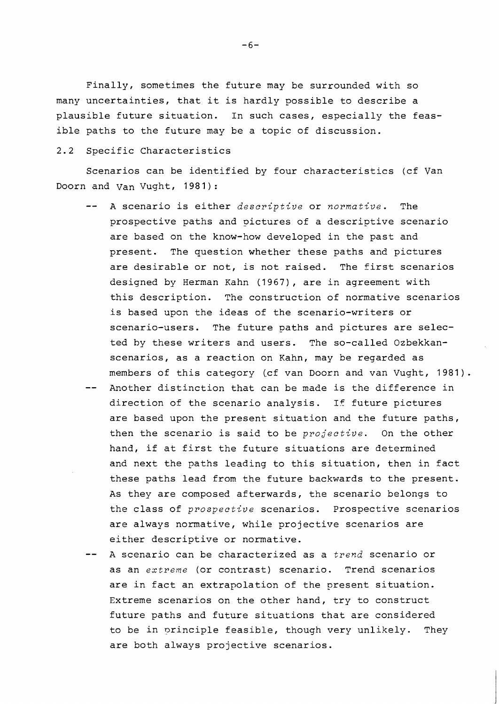Finally, sometimes the future may be surrounded with so many uncertainties, that it is hardly possible to describe a plausible future situation. In such cases, especially the feasible paths to the future may be a topic of discussion.

### 2.2 Specific Characteristics

Scenarios can be identified by four characteristics (cf Van Doorn and Van Vught, 1981):

- -- A scenario is either *descriptive* or *normative.* The prospective paths and pictures of a descriptive scenario are based on the know-how developed in the past and present. The question whether these paths and pictures are desirable or not, is not raised. The first scenarios designed by Herman Kahn (1967), are in agreement with this description. The construction of normative scenarios is based upon the ideas of the scenario-writers or scenario-users. The future paths and pictures are selected by these writers and users. The so-called Ozbekkanscenarios, as a reaction on Kahn, may be regarded as members of this category (cf van Doorn and van Vught, 1981).
- Another distinction that can be made is the difference in direction of the scenario analysis. If future pictures are based upon the present situation and the future paths, then the scenario is said to be *projective.* On the other hand, if at first the future situations are determined and next the paths leading to this situation, then in fact these paths lead from the future backwards to the present. As they are composed afterwards, the scenario belongs to the class of *prospective* scenarios. Prospective scenarios are always normative, while projective scenarios are either descriptive or normative.
- A scenario can be characterized as a *trend* scenario or as an *extreme* (or contrast) scenario. Trend scenarios are in fact an extrapolation of the present situation. Extreme scenarios on the other hand, try to construct future paths and future situations that are considered to be in principle feasible, though very unlikely. They are both always projective scenarios.

 $-6-$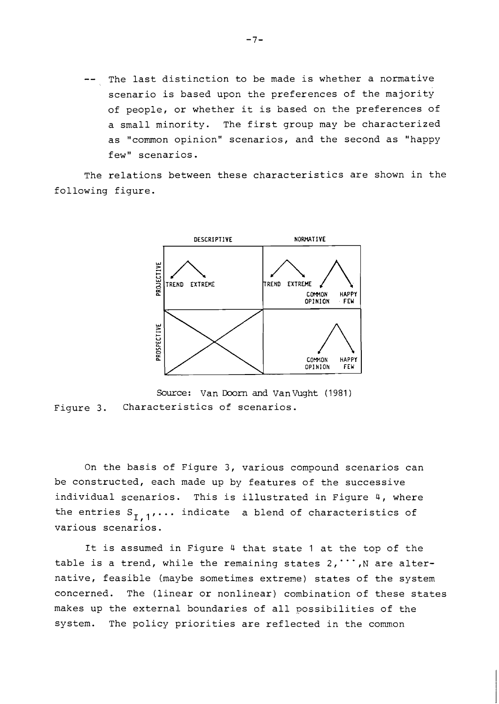The last distinction to be made is whether a normative scenario is based upon the preferences of the majority of people, or whether it is based on the preferences of a small minority. The first group may be characterized as "common opinion" scenarios, and the second as "happy few" scenarios.

The relations between these characteristics are shown in the following figure.



Source: Van Doom and VanVught (1981) Figure 3. Characteristics of scenarios.

On the basis of Figure 3, various compound scenarios can be constructed, each made up by features of the successive individual scenarios. This is illustrated in Figure 4, where the entries  $S_{I,1}$ ... indicate a blend of characteristics of various scenarios.

It is assumed in Figure 4 that state 1 at the top of the table is a trend, while the remaining states  $2, \dots, N$  are alternative, feasible (maybe sometimes extreme) states of the system concerned. The (linear or nonlinear) combination of these states makes up the external boundaries of all possibilities of the system. The policy priorities are reflected in the common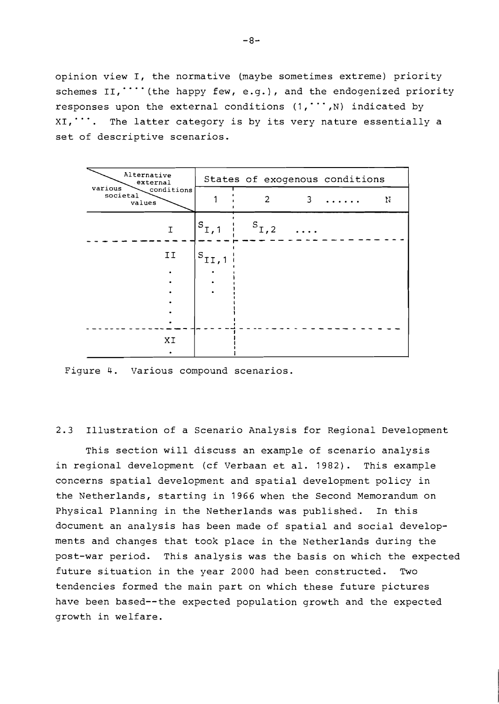opinion view I, the normative (maybe sometimes extreme) priority schemes  $II, \dots$  (the happy few, e.g.), and the endogenized priority responses upon the external conditions  $(1, \dots, N)$  indicated by  $XI,$ ... The latter category is by its very nature essentially a set of descriptive scenarios.

| Alternative<br>external<br>various<br>conditions<br>societal<br>values | States of exogenous conditions |                |   |   |   |
|------------------------------------------------------------------------|--------------------------------|----------------|---|---|---|
|                                                                        |                                | $\overline{2}$ | 3 | . | N |
| Ι                                                                      | $S_{I,1}$                      | $S_{I,2}$      |   |   |   |
| II                                                                     | $\mathcal{S}_{\text{II},1}$    |                |   |   |   |
|                                                                        |                                |                |   |   |   |
| XI                                                                     |                                |                |   |   |   |

Figure 4. Various compound scenarios.

2.3 Illustration of a Scenario Analysis for Regional Development

This section will discuss an example of scenario analysis in regional development (cf Verbaan et al. 1982). This example concerns spatial development and spatial development policy in the Netherlands, starting in 1966 when the Second Memorandum on Physical Planning in the Netherlands was published. In this document an analysis has been made of spatial and social developments and changes that took place in the Netherlands during the post-war period. This analysis was the basis on which the expected future situation in the year 2000 had been constructed. Two tendencies formed the main part on which these future pictures have been based--the expected population growth and the expected growth in welfare.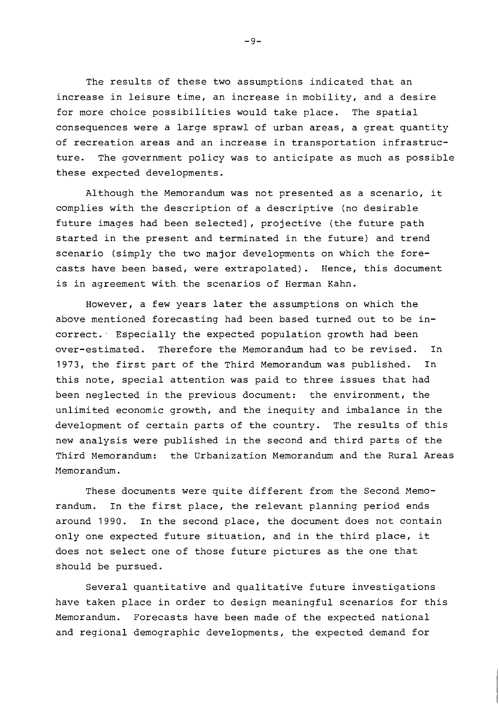The results of these two assumptions indicated that an increase in leisure time, an increase in mobility, and a desire for more choice possibilities would take place. The spatial consequences were a large sprawl of urban areas, a great quantity of recreation areas and an increase in transportation infrastructure. The government policy was to anticipate as much as possible these expected developments.

Although the Memorandum was not presented as a scenario, it complies with the description of a descriptive (no desirable future images had been selected), projective (the future path started in the present and terminated in the future) and trend scenario (simply the two major developments on which the forecasts have been based, were extrapolated). Hence, this document is in agreement with the scenarios of Herman Kahn.

However, a few years later the assumptions on which the above mentioned forecasting had been based turned out to be incorrect. Especially the expected population growth had been over-estimated. Therefore the Memorandum had to be revised. In 1973, the first part of the Third Memorandum was published. In this note, special attention was paid to three issues that had been neglected in the previous document: the environment, the unlimited economic growth, and the inequity and imbalance in the development of certain parts of the country. The results of this new analysis were published in the second and third parts of the Third Memorandum: the Urbanization Memorandum and the Rural Areas Memorandum.

These documents were quite different from the Second Memorandum. In the first place, the relevant planning period ends around 1990. In the second place, the document does not contain only one expected future situation, and in the third place, it does not select one of those future pictures as the one that should be pursued.

Several quantitative and qualitative future investigations have taken place in order to design meaningful scenarios for this Memorandum. Forecasts have been made of the expected national and regional demographic developments, the expected demand for

 $-9-$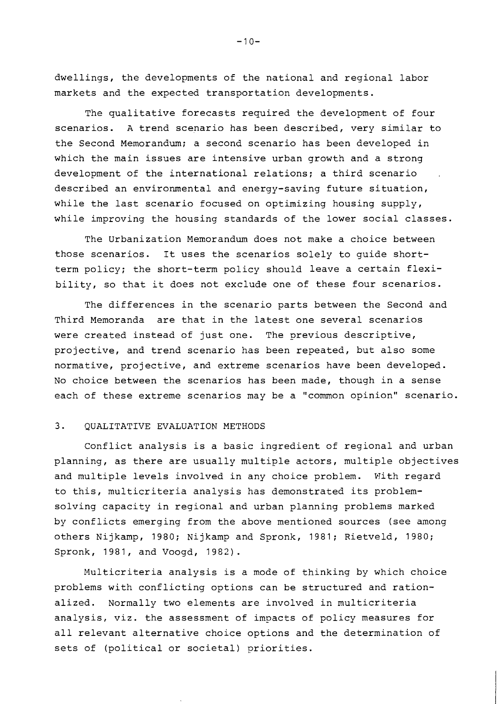dwellings, the developments of the national and regional labor markets and the expected transportation developments.

The qualitative forecasts required the development of four scenarios. A trend scenario has been described, very similar to the Second Memorandum; a second scenario has been developed in which the main issues are intensive urban growth and a strong development of the international relations; a third scenario described an environmental and energy-saving future situation, while the last scenario focused on optimizing housing supply, while improving the housing standards of the lower social classes.

The Urbanization Memorandum does not make a choice between those scenarios. It uses the scenarios solely to guide shortterm policy; the short-term policy should leave a certain flexibility, so that it does not exclude one of these four scenarios.

The differences in the scenario parts between the Second and Third Memoranda are that in the latest one several scenarios were created instead of just one. The previous descriptive, projective, and trend scenario has been repeated, but also some normative, projective, and extreme scenarios have been developed. No choice between the scenarios has been made, though in a sense each of these extreme scenarios may be a "common opinion" scenario.

#### 3. QUALITATIVE EVALUATION METHODS

Conflict analysis is a basic ingredient of regional and urban planning, as there are usually multiple actors, multiple objectives and multiple levels involved in any choice problem. With regard to this, multicriteria analysis has demonstrated its problemsolving capacity in regional and urban planning problems marked by conflicts emerging from the above mentioned sources (see among others Nijkamp, 1980; Nijkamp and Spronk, 3981; Rietveld, 3980; Spronk, 1981, and Voogd, 1982).

Multicriteria analysis is a mode of thinking by which choice problems with conflicting options can be structured and rationalized. Normally two elements are involved in multicriteria analysis, viz. the assessment of impacts of policy measures for all relevant alternative choice options and the determination of sets of (political or societal) priorities.

 $-10-$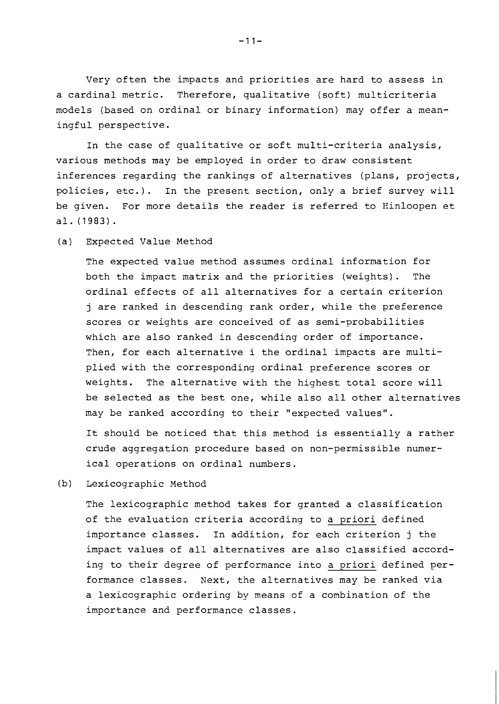Very often the impacts and priorities are hard to assess in a cardinal metric. Therefore, qualitative (soft) multicriteria models (based on ordinal or binary information) may offer a meaningful perspective.

In the case of qualitative or soft multi-criteria analysis, various methods may be employed in order to draw consistent inferences regarding the rankings of alternatives (plans, projects, policies, etc.). In the present section, only a brief survey will be given. For more details the reader is referred to Hinloopen et al. (1983).

(a) Expected Value Method

The expected value method assumes ordinal information for both the impact matrix and the priorities (weights). The ordinal effects of all alternatives for a certain criterion j are ranked in descending rank order, while the preference scores or weights are conceived of as semi-probabilities which are also ranked in descending order of importance. Then, for each alternative i the ordinal impacts are multiplied with the corresponding ordinal preference scores or weights. The alternative with the highest total score will be selected as the best one, while also all other alternatives may be ranked according to their "expected values".

It should be noticed that this method is essentially a rather crude aggregation procedure based on non-permissible numerical operations on ordinal numbers.

(b) Lexicographic Method

The lexicographic method takes for granted a classification of the evaluation criteria according to a priori defined importance classes. In addition, for each criterion j the impact values of all alternatives are also classified according to their degree of performance into a priori defined performance classes. Next, the alternatives may be ranked via a lexicographic ordering by means of a combination of the importance and performance classes.

 $-11-$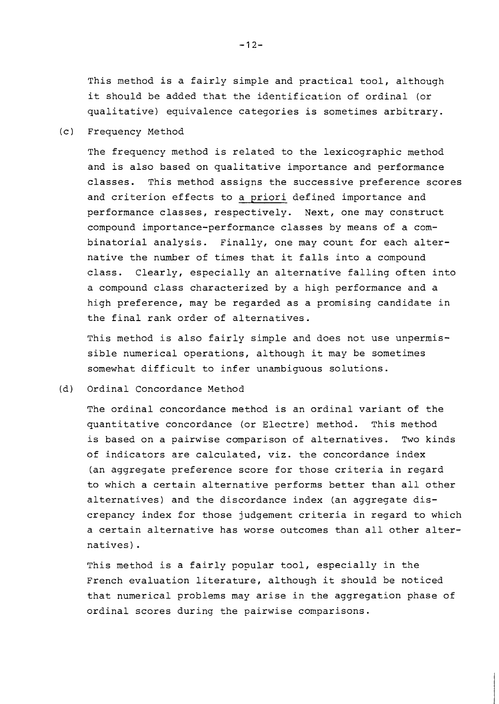This method is a fairly simple and practical tool, although it should be added that the identification of ordinal (or qualitative) equivalence categories is sometimes arbitrary.

(c ) Frequency Method

The frequency method is related to the lexicographic method and is also based on qualitative importance and performance classes. This method assigns the successive preference scores and criterion effects to a priori defined importance and performance classes, respectively. Next, one may construct compound importance-performance classes by means of a combinatorial analysis. Finally, one may count for each alternative the number of times that it falls into a compound class. Clearly, especially an alternative falling often into a compound class characterized by a high performance and a high preference, may be regarded as a promising candidate in the final rank order of alternatives.

This method is also fairly simple and does not use unpermissible numerical operations, although it may be sometimes somewhat difficult to infer unambiguous solutions.

(d) Ordinal Concordance Method

The ordinal concordance method is an ordinal variant of the quantitative concordance (or Electre) method. This method is based on a pairwise comparison of alternatives. Two kinds of indicators are calculated, viz. the concordance index (an aggregate preference score for those criteria in regard to which a certain alternative performs better than all other alternatives) and the discordance index (an aggregate discrepancy index for those judgement criteria in regard to which a certain alternative has worse outcomes than all other alternatives) .

This method is a fairly popular tool, especially in the French evaluation literature, although it should be noticed that numerical problems may arise in the aggregation phase of ordinal scores during the pairwise comparisons.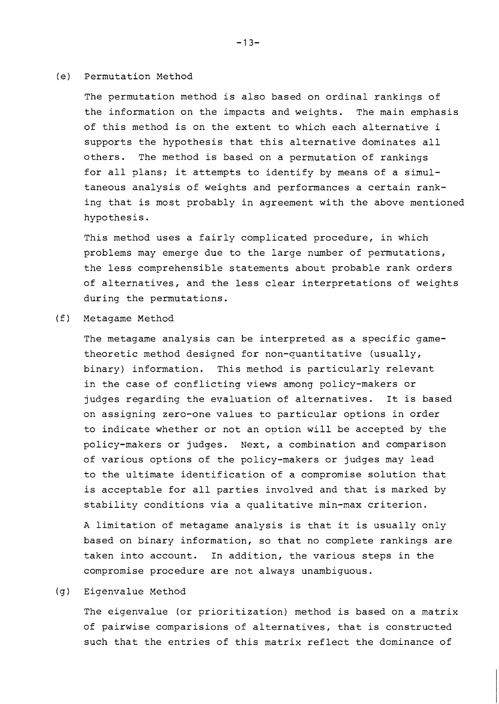#### (e) Permutation Method

The permutation method is also based on ordinal rankings of the information on the impacts and weights. The main emphasis of this method is on the extent to which each alternative i supports the hypothesis that this alternative dominates all others. The method is based on a permutation of rankings for all plans; it attempts to identify by means of a simultaneous analysis of weights and performances a certain ranking that is most probably in agreement with the above mentioned hypothesis.

This method uses a fairly complicated procedure, in which problems may emerge due to the large number of permutations, the less comprehensible statements about probable rank orders of alternatives, and the less clear interpretations of weights during the permutations.

(f) Metagame Method

The metagame analysis can be interpreted as a specific gametheoretic method designed for non-quantitative (usually, binary) information. This method is particularly relevant in the case of conflicting views among policy-makers or judges regarding the evaluation of alternatives. It is based on assigning zero-one values to particular options in order to indicate whether or not an option will be accepted by the policy-makers or judges. Next, a combination and comparison of various options of the policy-makers or judges may lead to the ultimate identification of a compromise solution that is acceptable for all parties involved and that is marked by stability conditions via a qualitative min-max criterion.

A limitation of metagame analysis is that it is usually only based on binary information, so that no complete rankings are taken into account. In addition, the various steps in the compromise procedure are not always unambiguous.

## (g) Eigenvalue Method

The eigenvalue (or prioritization) method is based on a matrix of pairwise comparisions of alternatives, that is constructed such that the entries of this matrix reflect the dominance of

 $-13-$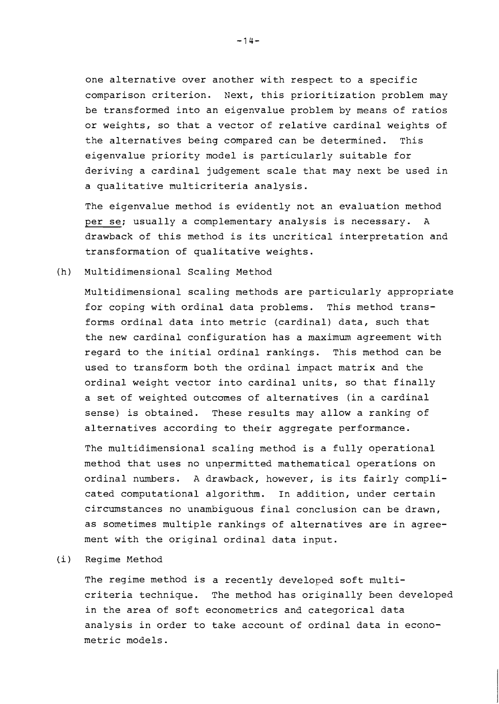one alternative over another with respect to a specific comparison criterion. Next, this prioritization problem may be transformed into an eigenvalue problem by means of ratios or weights, so that a vector of relative cardinal weights of the alternatives being compared can be determined. This eigenvalue priority model is particularly suitable for deriving a cardinal judgement scale that may next be used in a qualitative nulticriteria analysis.

The eigenvalue method is evidently not an evaluation method per se; usually a complementary analysis is necessary. A drawback of this method is its uncritical interpretation and transformation of qualitative weights.

(h) Multidimensional Scaling Method

Multidimensional scaling methods are particularly appropriate for coping with ordinal data problems. This method transforms ordinal data into metric (cardinal) data, such that the new cardinal configuration has a maximum agreement with regard to the initial ordinal rankings. This method can be used to transform both the ordinal impact matrix and the ordinal weight vector into cardinal units, so that finally a set of weighted outcomes of alternatives (in a cardinal sense) is obtained. These results may allow a ranking of alternatives according to their aggregate performance.

The multidimensional scaling method is a fully operational method that uses no unpermitted mathematical operations on ordinal numbers. A drawback, however, is its fairly complicated computational algorithm. In addition, under certain circumstances no unambiguous final conclusion can be drawn, as sometimes multiple rankings of alternatives are in agreement with the original ordinal data input.

(i) Regime Method

The regime method is a recently developed soft multicriteria technique. The method has originally been developed in the area of soft econometrics and categorical data analysis in order to take account of ordinal data in econometric models.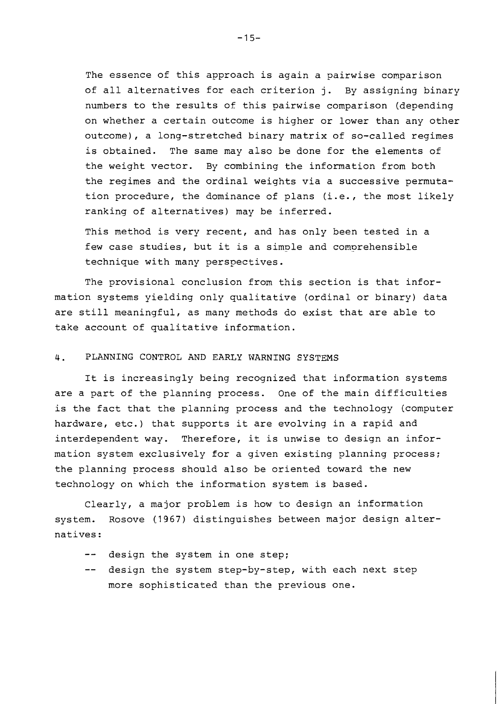The essence of this approach is again a pairwise comparison of all alternatives for each criterion j. By assigning binary numbers to the results of this pairwise comparison (depending on whether a certain outcome is higher or lower than any other outcome), a long-stretched binary matrix of so-called regimes is obtained. The same may also be done for the elements of the weight vector. By combining the information from both the regimes and the ordinal weights via a successive permutation procedure, the dominance of plans (i.e., the most likely ranking of alternatives) may be inferred.

This method is very recent, and has only been tested in a few case studies, but it is a simple and comprehensible technique with many perspectives.

The provisional conclusion from this section is that information systems yielding only qualitative (ordinal or binary) data are still meaningful, as many methods do exist that are able to take account of qualitative information.

### 4. PLANNING CONTROL AND EARLY WARNING SYSTEMS

It is increasingly being recognized that information systems are a part of the planning process. One of the main difficulties is the fact that the planning process and the technology (computer hardware, etc.) that supports it are evolving in a rapid and interdependent way. Therefore, it is unwise to design an information system exclusively for a given existing planning process; the planning process should also be oriented toward the new technology on which the information system is based.

Clearly, a major problem is how to design an information system. Rosove (1967) distinguishes between major design alternatives:

- -- design the system in one step;
- -- design the system step-by-step, with each next step more sophisticated than the previous one.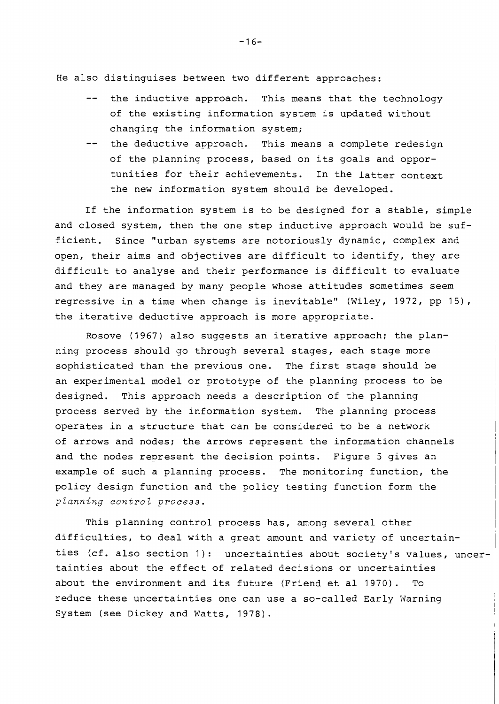He also distinguises between two different approaches:

- -- the inductive approach. This means that the technology of the existing information system is updated without changing the information system;
- -- the deductive approach. This means a complete redesign of the planning process, based on its goals and opportunities for their achievements. In the latter context the new information system should be developed.

If the information system is to be designed for a stable, simple and closed system, then the one step inductive approach would be sufficient. Since "urban systems are notoriously dynamic, complex and open, their aims and objectives are difficult to identify, they are difficult to analyse and their performance is difficult to evaluate and they are managed by many people whose attitudes sometimes seem regressive in a time when change is inevitable" (Wiley, 3972, pp IS), the iterative deductive approach is more appropriate.

Rosove (3967) also suggests an iterative approach; the planning process should go through several stages, each stage more sophisticated than the previous one. The first stage should be an experimental model or prototype of the planning process to be designed. This approach needs a description of the planning process served by the information system. The planning process operates in a structure that can be considered to be a network of arrows and nodes; the arrows represent the information channels and the nodes represent the decision points. Figure 5 gives an example of such a planning process. The monitoring function, the policy design function and the policy testing function form the *planning control process.* 

This planning control process has, among several other difficulties, to deal with a great amount and variety of uncertain ties (cf. also section 1): uncertainties about society's values, uncertainties about the effect of related decisions or uncertainties about the environment and its futare (Friend et a1 1970). To reduce these uncertainties one can use a so-called Early Warning System (see Dickey and Watts, 1978).

 $-16-$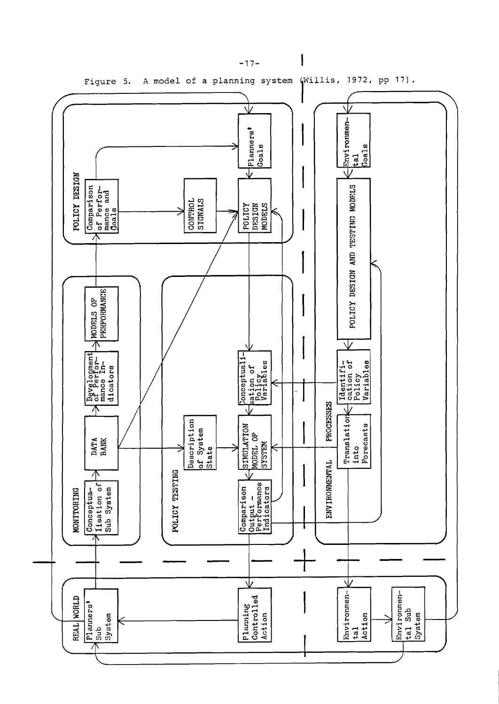

 $-17-$ 

 $\mathsf I$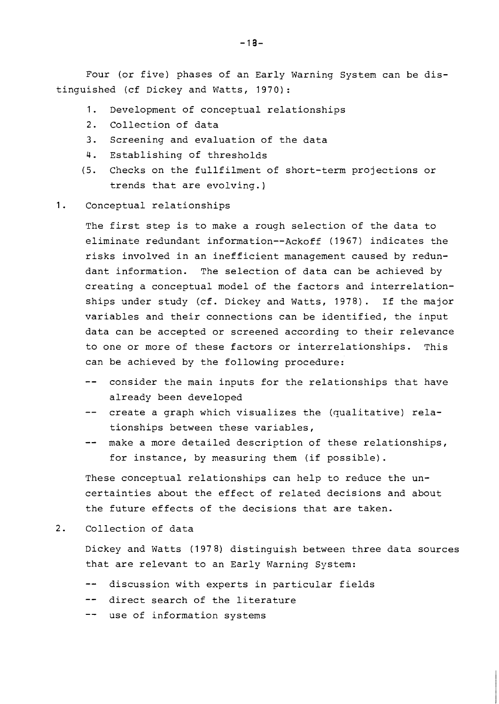Four (or five) phases of an Early Warning System can be distinguished (cf Dickey and Watts, 1970):

- 1. Development of conceptual relationships
- 2. Collection of data
- 3. Screening and evaluation of the data
- 4. Establishing of thresholds
- (5. Checks on the fullfilment of short-term projections or trends that are evolving.]

#### 1. Conceptual relationships

The first step is to make a rough selection of the data to eliminate redundant information--Ackoff (1967) indicates the risks involved in an inefficient management caused by redundant information. The selection of data can be achieved by creating a conceptual model of the factors and interrelationships under study (cf. Dickey and Watts, 1978). If the major variables and their connections can be identified, the input data can be accepted or screened according to their relevance to one or more of these factors or interrelationships. This can be achieved by the following procedure:

- -- consider the main inputs for the relationships that have already been developed
- -- create a graph which visualizes the (qualitative) relationships between these variables,
- -- make a more detailed description of these relationships, for instance, by measuring them (if possible).

These conceptual relationships can help to reduce the uncertainties about the effect of related decisions and about the future effects of the decisions that are taken.

#### Collection of data  $2.$

Dickey and Watts (1978) distinguish between three data sources that are relevant to an Early Warning System:

- -- discussion with experts in particular fields
- -- direct search of the literature
- -- use of information systems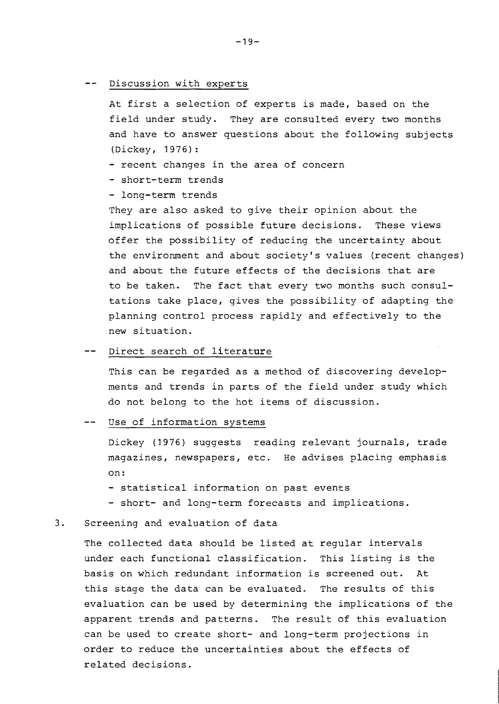## -- Discussion with experts

At first a selection of experts is made, based on the field under study. They are consulted every two months and have to answer questions about the following subjects (Dickey, 1976) :

- recent changes in the area of concern
- short-term trends
- long-term trends

They are also asked to give their opinion about the implications of possible future decisions. These views offer the possibility of reducing the uncertainty about the environment and about society's values (recent changes) and about the future effects of the decisions that are to be taken. The fact that every two months such consultations take place, gives the possibility of adapting the planning control process rapidly and effectively to the new situation.

## -- Direct search of literature

This can be regarded as a method of discovering developments and trends in parts of the field under study which do not belong to the hot items of discussion.

#### -- Use of information systems

Dickey (1976) suggests reading relevant journals, trade magazines, newspapers, etc. He advises placing emphasis on :

- statistical information on past events
- short- and long-term forecasts and implications.

#### **3.** Screening and evaluation of data

The collected data should be listed at regular intervals under each functional classification. This listing is the basis on which redundant information is screened out. At this stage the data can be evaluated. The results of this evaluation can be used by determining the implications of the apparent trends and patterns. The result of this evaluation can be used to create short- and long-term projections in order to reduce the uncertainties about the effects of related decisions.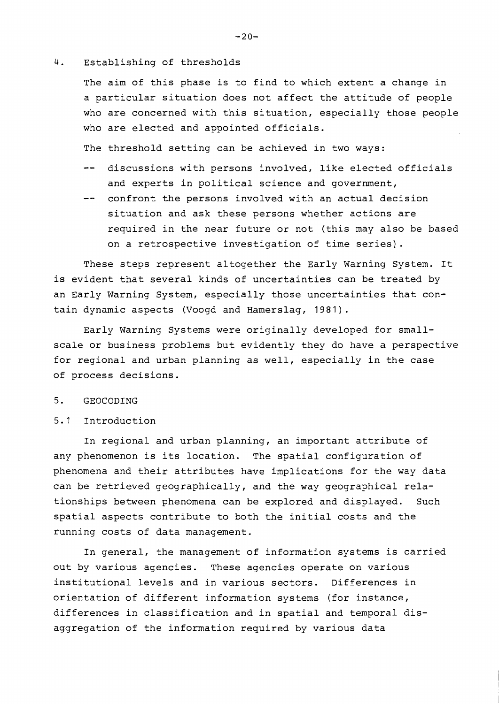#### 4. Establishing of thresholds

The aim of this phase is to find to which extent a change in a particular situation does not affect the attitude of people who are concerned with this situation, especially those people who are elected and appointed officials.

The threshold setting can be achieved in two ways:

- -- discussions with persons involved, like elected officials and experts in political science and government,
- confront the persons involved with an actual decision situation and ask these persons whether actions are required in the near future or not (this may also be based on a retrospective investigation of time series).

These steps represent altogether the Early Warning System. It is evident that several kinds of uncertainties can be treated by an Early Warning System, especially those uncertainties that contain dynamic aspects (Voogd and Hamerslag, 1981).

Early Warning Systems were originally developed for smallscale or business problems but evidently they do have a perspective for regional and urban planning as well, especially in the case of process decisions.

#### $5.$ GEOCODING

5.1 Introduction

In regional and urban planning, an important attribute of any phenomenon is its location. The spatial configuration of phenomena and their attributes have implications for the way data can be retrieved geographically, and the way geographical relationships between phenomena can be explored and displayed. Such spatial aspects contribute to both the initial costs and the running costs of data management.

In general, the management of information systems is carried out by various agencies. These agencies operate on various institutional levels and in various sectors. Differences in orientation of different information systems (for instance, differences in classification and in spatial and temporal disaggregation of the information required by various data

 $-20-$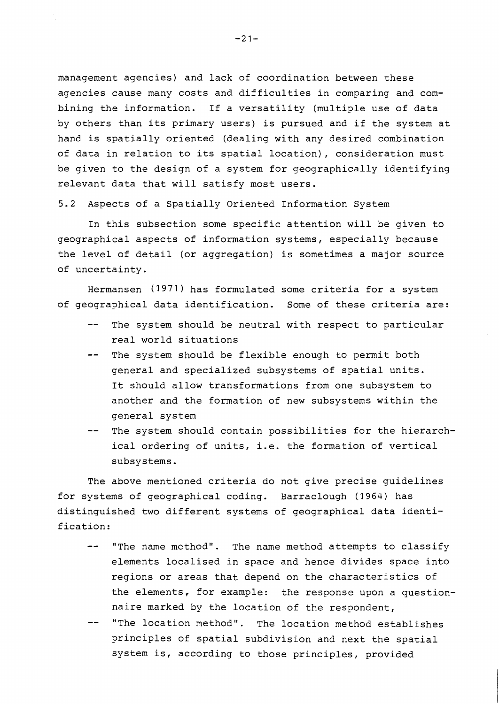management agencies) and lack of coordination between these agencies cause many costs and difficulties in comparing and combining the information. If a versatility (multiple use of data by others than its primary users) is pursued and if the system at hand is spatially oriented (dealing with any desired combination of data in relation to its spatial location), consideration must be given to the design of a system for geographically identifying relevant data that will satisfy most users.

5.2 Aspects of a Spatially Oriented Information System

In this subsection some specific attention will be given to geographical aspects of information systems, especially because the level of detail (or aggregation) is sometimes a major source of uncertainty.

Hermansen (3971) has formulated some criteria for a system of geographical data identification. Some of these criteria are:

- -- The system should be neutral with respect to particular real world situations
- -- The system should be flexible enough to permit both general and specialized subsystems of spatial units. It should allow transformations from one subsystem to another and the formation of new subsystems within the general system
- The system should contain possibilities for the hierarchical ordering of units, i.e. the formation of vertical subsystems.

The above mentioned criteria do not give precise guidelines for systems of geographical coding. Barraclough (1964) has distinguished two different systems of geographical data identification:

- "The name method". The name method attempts to classify elements localised in space and hence divides space into regions or areas that depend on the characteristics of the elements, for example: the response upon a questionnaire marked by the location of the respondent,
- "The location method". The location method establishes principles of spatial subdivision and next the spatial system is, according to those principles, provided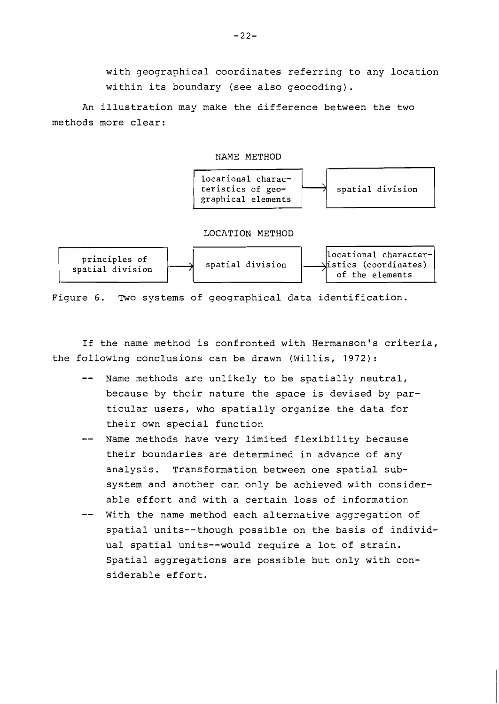with geographical coordinates referring to any location within its boundary (see also geocoding).

An illustration may make the difference between the two methods more clear:

#### NAME METHOD



Figure 6. Two systems of geographical data identification.

If the name method is confronted with Hermanson's criteria, the following conclusions can be drawn (Willis, 1972):

- -- Name methods are unlikely to be spatially neutral, because by their nature the space is devised by particular users, who spatially organize the data for their own special function
- Name methods have very limited flexibility because their boundaries are determined in advance of any analysis. Transformation between one spatial subsystem and another can only be achieved with considerable effort and with a certain loss of information
- With the name method each alternative aggregation of spatial units--though possible on the basis of individual spatial units--would require a lot of strain. Spatial aggregations are possible but only with considerable effort.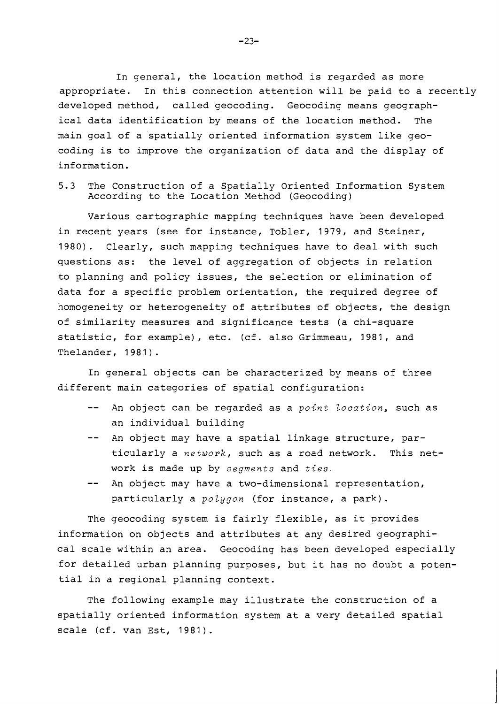In general, the location method is regarded as more appropriate. In this connection attention will be paid to a recently developed method, called geocoding. Geocoding means geographical data identification by means of the location method. The main goal of a spatially oriented information system like geocoding is to improve the organization of data and the display of information.

5.3 The Construction of a Spatially Oriented Information System According to the Location Method (Geocoding)

Various cartographic mapping techniques have been developed in recent years (see for instance, Tobler, 1979, and Steiner, 1980). Clearly, such mapping techniques have to deal with such questions as: the level of aggregation of objects in relation to planning and policy issues, the selection or elimination of data for a specific problem orientation, the required degree of homogeneity or heterogeneity of attributes of objects, the design of similarity measures and significance tests (a chi-square statistic, for example), etc. (cf. also Grimmeau, 1981, and Thelander, 1981).

In general objects can be characterized by means of three different main categories of spatial configuration:

- -- An object can be regarded as a point location, such as an individual building
- -- An object may have a spatial linkage structure, particularly a network, such as a road network. This network is made up by segments and ties.
- -- An object may have a two-dimensional representation, particularly a polygon (for instance, a park).

The geocoding system is fairly flexible, as it provides information on objects and attributes at any desired geographical scale within an area. Geocoding has been developed especially for detailed urban planning purposes, but it has no doubt a potential in a regional planning context.

The following example may illustrate the construction of a spatially oriented information system at a very detailed spatial scale (cf. van Est, 1981).

 $-23-$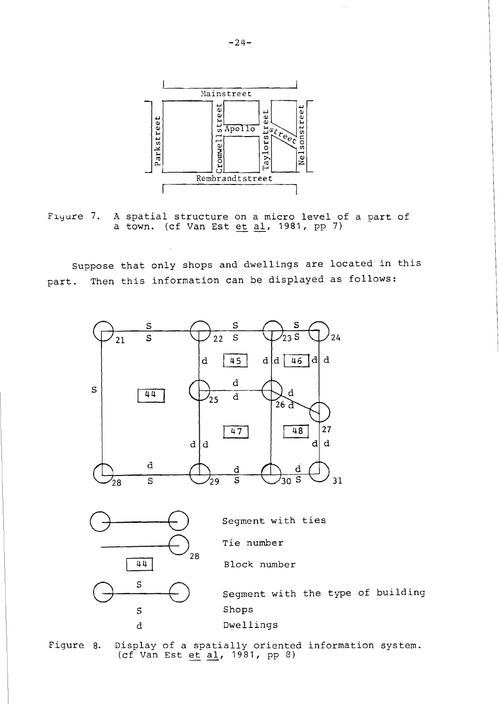

Flyure 7. **A** spatial structure on a micro level of a part of A spatial structure on a micro level of<br>a town. (cf Van Est <u>et al</u>, 1981, pp 7)

Suppose that only shops and dwellings are located in this part. Then this information can be displayed as follows:



Figure 8. Display of a spatially oriented information system.  $(cf$  Van Est  $et$   $\underline{al}$ , 1981, pp 8)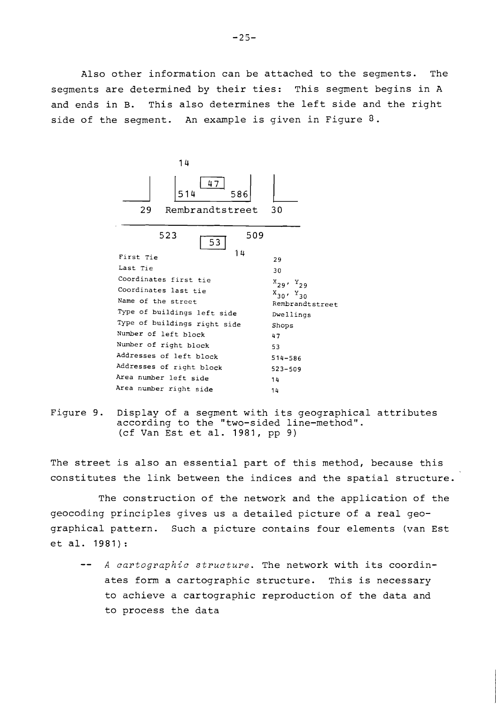Also other information can be attached to the segments. The segments are determined by their ties: This segment begins in A and ends in B. This also determines the left side and the right side of the segment. An example is given in Figure  $3$ .



Figure 9. Display of a segment with its geographical attributes according to the "two-sided line-method". (cf Van Est et al. 1981, pp 9)

The street is also an essential part of this method, because this constitutes the link between the indices and the spatial structure.

The construction of the network and the application of the geocoding principles gives us a detailed picture of a real geographical pattern. Such a picture contains four elements (van Est et al. 1981):

A cartographic structure. The network with its coordinates form a cartographic structure. This is necessary to achieve a cartographic reproduction of the data and to process the data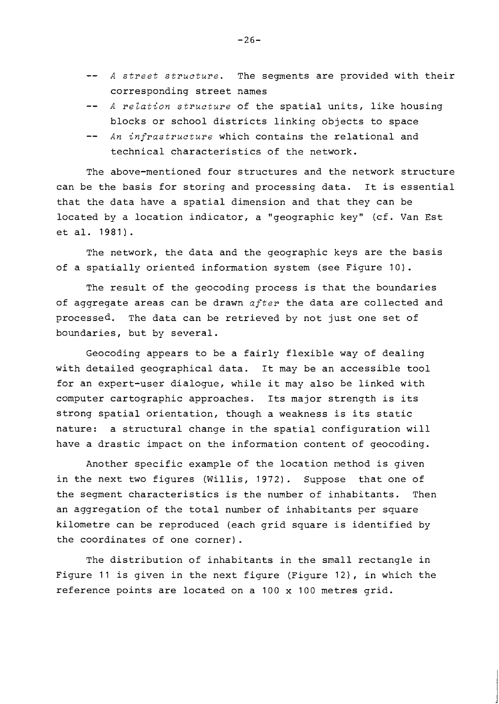- -- A street structure. The segments are provided with their corresponding street names
- -- A relation structure of the spatial units, like housing blocks or school districts linking objects to space
- -- An infrastructure which contains the relational and technical characteristics of the network.

The above-mentioned four structures and the network structure can be the basis for storing and processing data. It is essential that the data have a spatial dimension and that they can be located by a location indicator, a "geographic key" (cf. Van Est et al. 1981).

The network, the data and the geographic keys are the basis of a spatially oriented information system (see Figure 10).

The result of the geocoding process is that the boundaries of aggregate areas can be drawn after the data are collected and processed. The data can be retrieved by not just one set of boundaries, but by several.

Geocoding appears to be a fairly flexible way of dealing with detailed geographical data. It may be an accessible tool for an expert-user dialogue, while it may also be linked with computer cartographic approaches. Its major strength is its strong spatial orientation, though a weakness is its static nature: a structural change in the spatial configuration will have a drastic impact on the information content of geocoding.

Another specific example of the location method is given in the next two figures (Willis, 1972). Suppose that one of the segment characteristics is the number of inhabitants. Then an aggregation of the total number of inhabitants per square kilometre can be reproduced (each grid square is identified by the coordinates of one corner).

The distribution of inhabitants in the small rectangle in Figure 11 is given in the next figure (Figure 12), in which the reference points are located on a 100 x 100 metres grid.

 $-26-$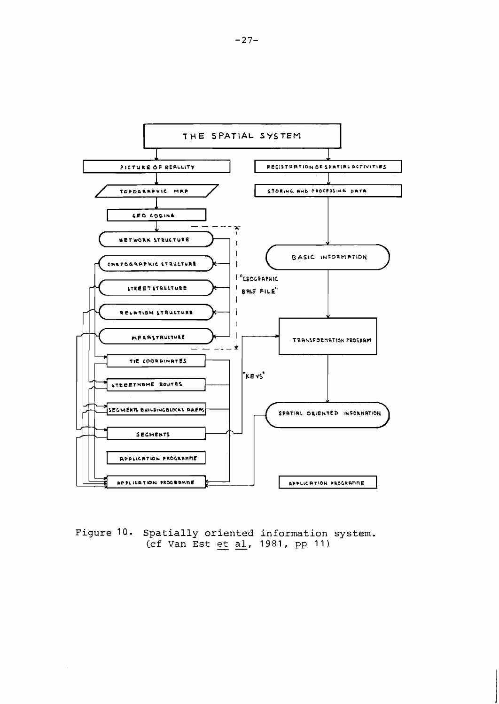

**Figure 10. Spatially oriented information system. )**<br>(cf Van Est <u>et al</u>, 1981, pp 11)<br>(cf Van Est <u>et</u> al, 1981, pp 11)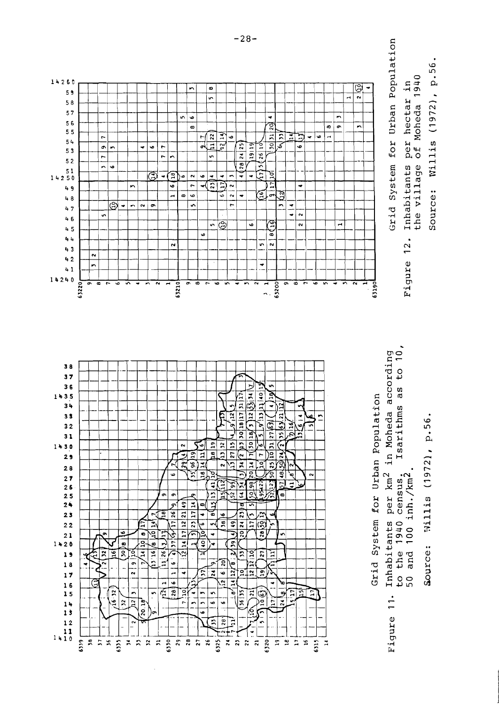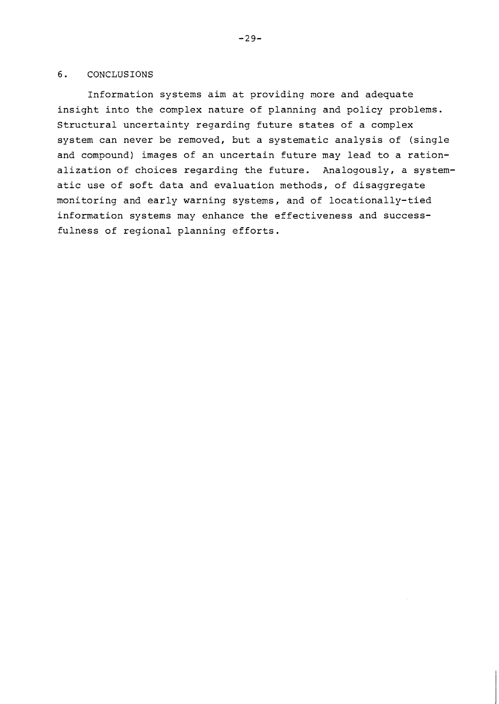## 6. CONCLUSIONS

Information systems aim at providing more and adequate insight into the complex nature of planning and policy problems. Structural uncertainty regarding future states of a complex system can never be removed, but a systematic analysis of (single and compound) images of an uncertain future may lead to a rationalization of choices regarding the future. Analogously, a systematic use of soft data and evaluation methods, of disaggregate monitoring and early warning systems, and of locationally-tied information systems may enhance the effectiveness and successfulness of regional planning efforts.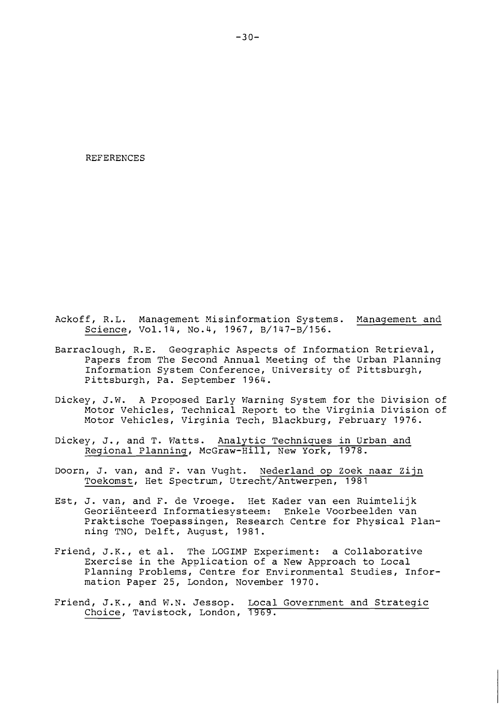#### REFERENCES

- Ackoff, R.L. Management Misinformation Systems. Management and Science, Vol.14, No.4, 1967, B/147-B/156.
- Earraclough, R.E. Geographic Aspects of Information Retrieval, Papers from The Second Annual Meeting of the Urban Planning Information System Conference, University of Pittsburgh, Pittsburgh, Pa. September 1964.
- Dickey, J.W. A Proposed Early Warning System for the Division of Motor Vehicles, Technical Report to the Virginia Division of Motor Vehicles, Virginia Tech, Blackburg, February 1976.
- Dickey, J., and T. Watts. Analytic Techniques in Urban and Regional Planning, McGraw-Hill, New York, 1978.
- Doorn, J. van, and F. van Vught. Nederland op Zoek naar Zijn Toekomst, Het Spectrum, Utrecht/Antwerpen, 1981
- Est, J. van, and F. de Vroege. Het Kader van een Ruimtelijk Georienteerd Informatiesysteem: Enkele Voorbeelden van Praktische Toepassingen, Research Centre for Physical Planning TNO, Delft, August, 1981.
- Friend, J.K., et al. The LOGIMP Experiment: a Collaborative Exercise in the Application of a New Approach to Local Planning Problems, Centre for Environmental Studies, Information Paper 25, London, November 1970.
- Friend, J.K., and W.N. Jessop. Local Government and Strategic Choice, Tavistock, London, 1969.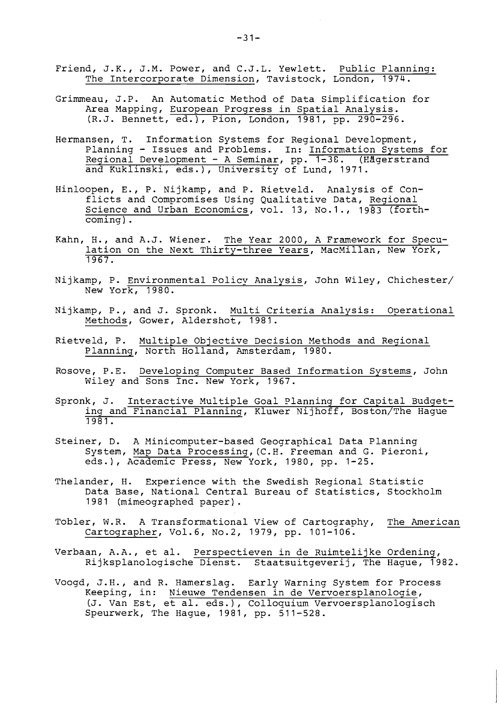- Friend, J.K., J.M. Power, and C.J.L. Yewlett. Public Planning: The Intercorporate Dimension, Tavistock, London, 1974.
- Grimmeau, J.P. An Automatic Method of Data Simplification for Area Mapping, European Progress in Spatial Analysis. (R.J. Bennett, ed.), Pion, London, 1981, pp. 290-296.
- Hermansen, T. Information Systems for Regional Development, nsen, T. Information systems for Regional Development,<br>Planning - Issues and Problems. In: <u>Information Systems for</u> Pianning - issues and Probiems. In: <u>Information Systems f</u><br>Regional Development - A Seminar, pp. 1-38. (Hägerstrand and Kuklinski, eds.), University of Lund, 1971.
- Hinloopen, E., P. Nijkamp, and P. Rietveld. Analysis of Conflicts and Compromises Using Qualitative Data, Regional Science and Urban Economics, vol. 13, No.1., 1983 (forthcoming) .
- Kahn, H., and A.J. Wiener. The Year 2000, A Framework for Speculation on the Next Thirty-three Years, MacMillan, New York, 1967.
- Nijkamp, P. Environmental Policy Analysis, John Wiley, Chichester/ New York, 1980.
- Nijkamp, P., and J. Spronk. Multi Criteria Analysis: Operational Methods, Gower, Aldershot, 1981.
- Rietveld, P. Multiple Objective Decision Methods and Regional Planning, North Holland, Amsterdam, 1980.
- Rosove, P.E. Developing Computer Based Information Systems, John Wiley and Sons Inc. New York, 1967.
- Spronk, J. Interactive Multiple Goal Planning for Capital Budgeting and Financial Planning, Kluwer Nijhoff, Boston/The Hague 3981.
- Steiner, D. A Minicomputer-based Geographical Data Planning System, Map Data Processing,(C.E. Freeman and G. Pieroni, eds.), Academic Press, New York, 1980, pp. 1-25.
- Thelander, H. Experience with the Swedish Regional Statistic Data Base, National Central Bureau of Statistics, Stockholm 1981 (mimeographed paper).
- Tobler, W.R. A Transformational View of Cartography, The American Cartographer, Vo1.6, No.2, 1979, pp. 101-106.
- Verbaan, A.A., et al. Perspectieven in de Ruimtelijke Ordening, Rijksplanologische Dienst. Staatsuitgeverij, The Hague, 1982.
- Voogd, J.H., and R. Hamerslag. Early Warning System for Process Keeping, in: Nieuwe Tendensen in de Vervoersplanologie, (J. Van Est, et al. eds.1, Colloquium Vervoersplanologisch Speurwerk, The Hague, 1981, pp. 511-528.